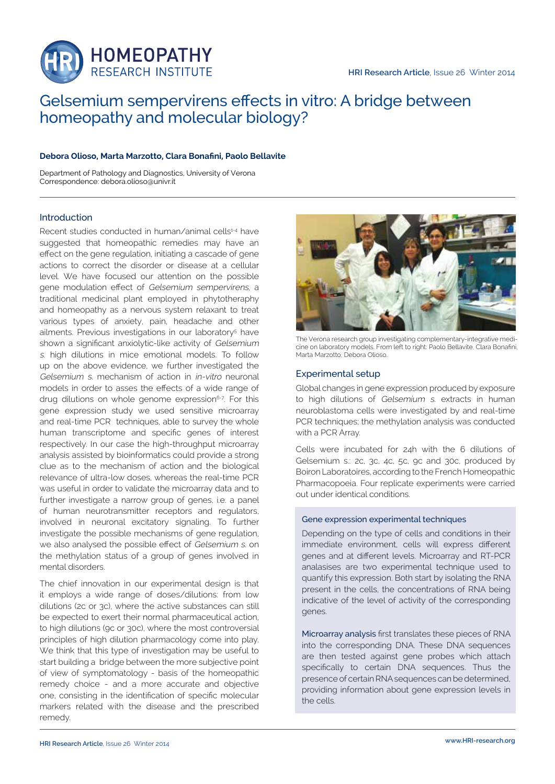

# Gelsemium sempervirens effects in vitro: A bridge between homeopathy and molecular biology?

# **Debora Olioso, Marta Marzotto, Clara Bonafini, Paolo Bellavite**

Department of Pathology and Diagnostics, University of Verona Correspondence: debora.olioso@univr.it

# Introduction

Recent studies conducted in human/animal cells<sup>1-4</sup> have suggested that homeopathic remedies may have an effect on the gene regulation, initiating a cascade of gene actions to correct the disorder or disease at a cellular level. We have focused our attention on the possible gene modulation effect of Gelsemium sempervirens, a traditional medicinal plant employed in phytotheraphy and homeopathy as a nervous system relaxant to treat various types of anxiety, pain, headache and other ailments. Previous investigations in our laboratory<sup>5</sup> have shown a significant anxiolytic-like activity of Gelsemium <sup>s</sup>. high dilutions in mice emotional models. To follow up on the above evidence, we further investigated the Gelsemium s. mechanism of action in in-vitro neuronal models in order to asses the effects of a wide range of drug dilutions on whole genome expression<sup>6-7</sup>. For this gene expression study we used sensitive microarray and real-time PCR techniques, able to survey the whole human transcriptome and specific genes of interest respectively. In our case the high-throughput microarray analysis assisted by bioinformatics could provide a strong clue as to the mechanism of action and the biological relevance of ultra-low doses, whereas the real-time PCR was useful in order to validate the microarray data and to further investigate a narrow group of genes, i.e. a panel of human neurotransmitter receptors and regulators, involved in neuronal excitatory signaling. To further investigate the possible mechanisms of gene regulation, we also analysed the possible effect of Gelsemium s. on the methylation status of a group of genes involved in mental disorders.

The chief innovation in our experimental design is that it employs a wide range of doses/dilutions: from low dilutions (2c or 3c), where the active substances can still be expected to exert their normal pharmaceutical action, to high dilutions (9c or 30c), where the most controversial principles of high dilution pharmacology come into play. We think that this type of investigation may be useful to start building a bridge between the more subjective point of view of symptomatology - basis of the homeopathic remedy choice - and a more accurate and objective one, consisting in the identification of specific molecular markers related with the disease and the prescribed remedy.



The Verona research group investigating complementary-integrative medicine on laboratory models. From left to right: Paolo Bellavite, Clara Bonafini, Marta Marzotto, Debora Olioso.

# Experimental setup

Global changes in gene expression produced by exposure to high dilutions of Gelsemium s. extracts in human neuroblastoma cells were investigated by and real-time PCR techniques; the methylation analysis was conducted with a PCR Array.

Cells were incubated for 24h with the 6 dilutions of Gelsemium s.: 2c, 3c, 4c, 5c, 9c and 30c, produced by Boiron Laboratoires, according to the French Homeopathic Pharmacopoeia. Four replicate experiments were carried out under identical conditions.

#### Gene expression experimental techniques

Depending on the type of cells and conditions in their immediate environment, cells will express different genes and at different levels. Microarray and RT-PCR analasises are two experimental technique used to quantify this expression. Both start by isolating the RNA present in the cells, the concentrations of RNA being indicative of the level of activity of the corresponding genes.

Microarray analysis first translates these pieces of RNA into the corresponding DNA. These DNA sequences are then tested against gene probes which attach specifically to certain DNA sequences. Thus the presence of certain RNA sequences can be determined, providing information about gene expression levels in the cells.